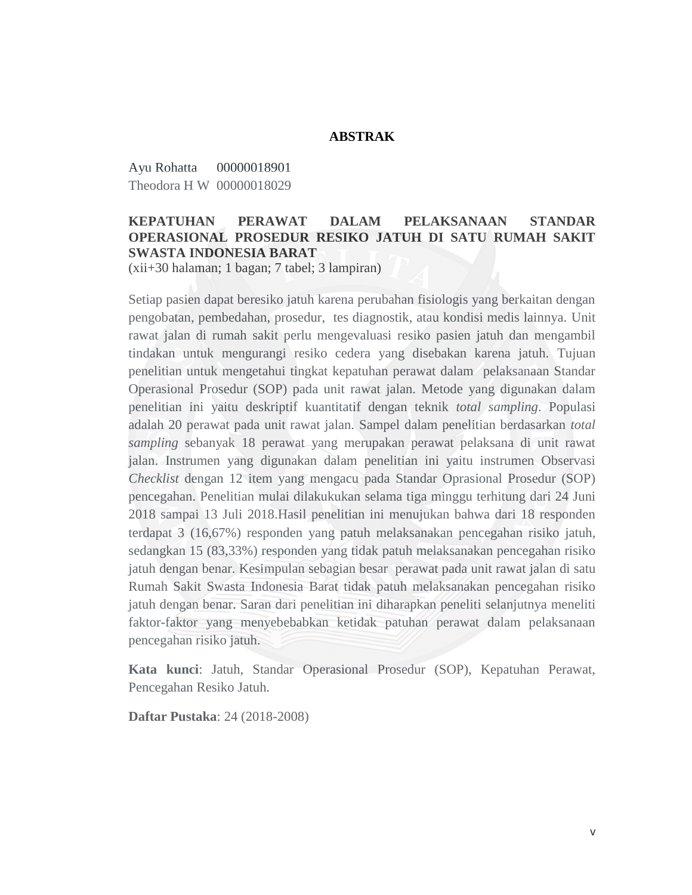## **ABSTRAK**

Ayu Rohatta 00000018901 Theodora H W 00000018029

## **KEPATUHAN PERAWAT DALAM PELAKSANAAN STANDAR OPERASIONAL PROSEDUR RESIKO JATUH DI SATU RUMAH SAKIT SWASTA INDONESIA BARAT**

(xii+30 halaman; 1 bagan; 7 tabel; 3 lampiran)

Setiap pasien dapat beresiko jatuh karena perubahan fisiologis yang berkaitan dengan pengobatan, pembedahan, prosedur, tes diagnostik, atau kondisi medis lainnya. Unit rawat jalan di rumah sakit perlu mengevaluasi resiko pasien jatuh dan mengambil tindakan untuk mengurangi resiko cedera yang disebakan karena jatuh. Tujuan penelitian untuk mengetahui tingkat kepatuhan perawat dalam pelaksanaan Standar Operasional Prosedur (SOP) pada unit rawat jalan. Metode yang digunakan dalam penelitian ini yaitu deskriptif kuantitatif dengan teknik *total sampling*. Populasi adalah 20 perawat pada unit rawat jalan. Sampel dalam penelitian berdasarkan *total sampling* sebanyak 18 perawat yang merupakan perawat pelaksana di unit rawat jalan. Instrumen yang digunakan dalam penelitian ini yaitu instrumen Observasi *Checklist* dengan 12 item yang mengacu pada Standar Oprasional Prosedur (SOP) pencegahan. Penelitian mulai dilakukukan selama tiga minggu terhitung dari 24 Juni 2018 sampai 13 Juli 2018.Hasil penelitian ini menujukan bahwa dari 18 responden terdapat 3 (16,67%) responden yang patuh melaksanakan pencegahan risiko jatuh, sedangkan 15 (83,33%) responden yang tidak patuh melaksanakan pencegahan risiko jatuh dengan benar. Kesimpulan sebagian besar perawat pada unit rawat jalan di satu Rumah Sakit Swasta Indonesia Barat tidak patuh melaksanakan pencegahan risiko jatuh dengan benar. Saran dari penelitian ini diharapkan peneliti selanjutnya meneliti faktor-faktor yang menyebebabkan ketidak patuhan perawat dalam pelaksanaan pencegahan risiko jatuh.

**Kata kunci**: Jatuh, Standar Operasional Prosedur (SOP), Kepatuhan Perawat, Pencegahan Resiko Jatuh.

**Daftar Pustaka**: 24 (2018-2008)